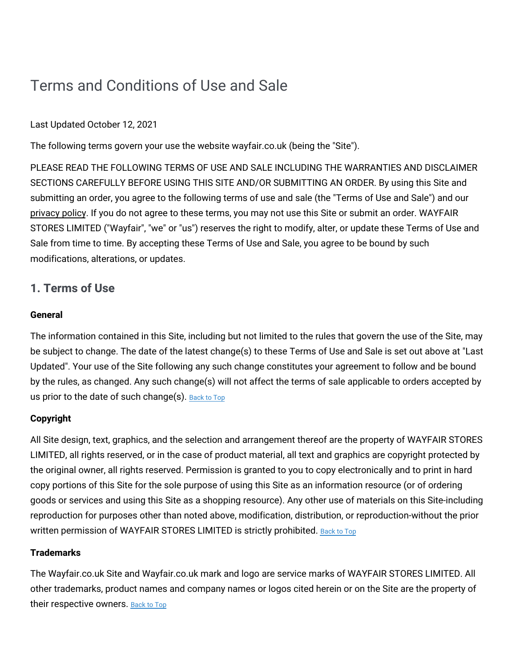# Terms and Conditions of Use and Sale

# Last Updated October 12, 2021

The following terms govern your use the website wayfair.co.uk (being the "Site").

PLEASE READ THE FOLLOWING TERMS OF USE AND SALE INCLUDING THE WARRANTIES AND DISCLAIMER SECTIONS CAREFULLY BEFORE USING THIS SITE AND/OR SUBMITTING AN ORDER. By using this Site and submitting an order, you agree to the following terms of use and sale (the "Terms of Use and Sale") and our [privacy](https://terms.wayfair.io/en-UK#wfuk-privacy) policy. If you do not agree to these terms, you may not use this Site or submit an order. WAYFAIR STORES LIMITED ("Wayfair", "we" or "us") reserves the right to modify, alter, or update these Terms of Use and Sale from time to time. By accepting these Terms of Use and Sale, you agree to be bound by such modifications, alterations, or updates.

# **1. Terms of Use**

# **General**

The information contained in this Site, including but not limited to the rules that govern the use of the Site, may be subject to change. The date of the latest change(s) to these Terms of Use and Sale is set out above at "Last Updated". Your use of the Site following any such change constitutes your agreement to follow and be bound by the rules, as changed. Any such change(s) will not affect the terms of sale applicable to orders accepted by us prior to the date of such change(s). [Back](#wfuk-terms-top) to Top

# **Copyright**

All Site design, text, graphics, and the selection and arrangement thereof are the property of WAYFAIR STORES LIMITED, all rights reserved, or in the case of product material, all text and graphics are copyright protected by the original owner, all rights reserved. Permission is granted to you to copy electronically and to print in hard copy portions of this Site for the sole purpose of using this Site as an information resource (or of ordering goods or services and using this Site as a shopping resource). Any other use of materials on this Site-including reproduction for purposes other than noted above, modification, distribution, or reproduction-without the prior written permission of WAYFAIR STORES LIMITED is strictly prohibited. [Back](#wfuk-terms-top) to Top

# **Trademarks**

The Wayfair.co.uk Site and Wayfair.co.uk mark and logo are service marks of WAYFAIR STORES LIMITED. All other trademarks, product names and company names or logos cited herein or on the Site are the property of their respective owners. [Back](#wfuk-terms-top) to Top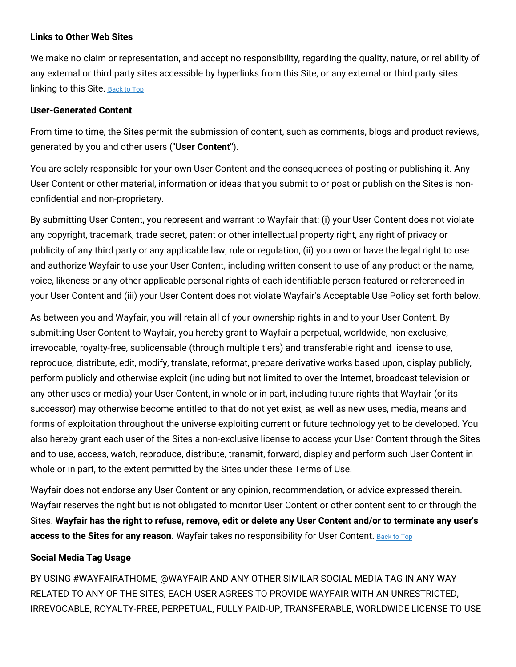## **Links to Other Web Sites**

We make no claim or representation, and accept no responsibility, regarding the quality, nature, or reliability of any external or third party sites accessible by hyperlinks from this Site, or any external or third party sites linking to this Site. [Back](#wfuk-terms-top) to Top

## **User-Generated Content**

From time to time, the Sites permit the submission of content, such as comments, blogs and product reviews, generated by you and other users (**"User Content"**).

You are solely responsible for your own User Content and the consequences of posting or publishing it. Any User Content or other material, information or ideas that you submit to or post or publish on the Sites is nonconfidential and non-proprietary.

By submitting User Content, you represent and warrant to Wayfair that: (i) your User Content does not violate any copyright, trademark, trade secret, patent or other intellectual property right, any right of privacy or publicity of any third party or any applicable law, rule or regulation, (ii) you own or have the legal right to use and authorize Wayfair to use your User Content, including written consent to use of any product or the name, voice, likeness or any other applicable personal rights of each identifiable person featured or referenced in your User Content and (iii) your User Content does not violate Wayfair's Acceptable Use Policy set forth below.

As between you and Wayfair, you will retain all of your ownership rights in and to your User Content. By submitting User Content to Wayfair, you hereby grant to Wayfair a perpetual, worldwide, non-exclusive, irrevocable, royalty-free, sublicensable (through multiple tiers) and transferable right and license to use, reproduce, distribute, edit, modify, translate, reformat, prepare derivative works based upon, display publicly, perform publicly and otherwise exploit (including but not limited to over the Internet, broadcast television or any other uses or media) your User Content, in whole or in part, including future rights that Wayfair (or its successor) may otherwise become entitled to that do not yet exist, as well as new uses, media, means and forms of exploitation throughout the universe exploiting current or future technology yet to be developed. You also hereby grant each user of the Sites a non-exclusive license to access your User Content through the Sites and to use, access, watch, reproduce, distribute, transmit, forward, display and perform such User Content in whole or in part, to the extent permitted by the Sites under these Terms of Use.

Wayfair does not endorse any User Content or any opinion, recommendation, or advice expressed therein. Wayfair reserves the right but is not obligated to monitor User Content or other content sent to or through the Sites. Wayfair has the right to refuse, remove, edit or delete any User Content and/or to terminate any user's **access to the Sites for any reason.** Wayfair takes no responsibility for User Content. [Back](#wfuk-terms-top) to Top

# **Social Media Tag Usage**

BY USING #WAYFAIRATHOME, @WAYFAIR AND ANY OTHER SIMILAR SOCIAL MEDIA TAG IN ANY WAY RELATED TO ANY OF THE SITES, EACH USER AGREES TO PROVIDE WAYFAIR WITH AN UNRESTRICTED, IRREVOCABLE, ROYALTY-FREE, PERPETUAL, FULLY PAID-UP, TRANSFERABLE, WORLDWIDE LICENSE TO USE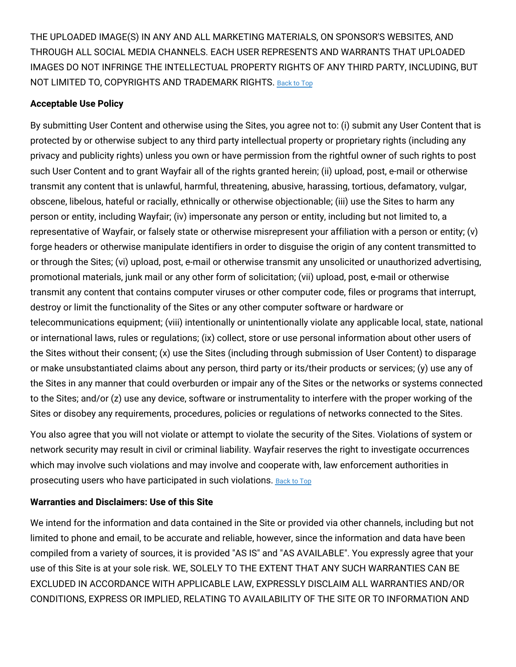THE UPLOADED IMAGE(S) IN ANY AND ALL MARKETING MATERIALS, ON SPONSOR'S WEBSITES, AND THROUGH ALL SOCIAL MEDIA CHANNELS. EACH USER REPRESENTS AND WARRANTS THAT UPLOADED IMAGES DO NOT INFRINGE THE INTELLECTUAL PROPERTY RIGHTS OF ANY THIRD PARTY, INCLUDING, BUT NOT LIMITED TO, COPYRIGHTS AND TRADEMARK RIGHTS. [Back](#wfuk-terms-top) to Top

## **Acceptable Use Policy**

By submitting User Content and otherwise using the Sites, you agree not to: (i) submit any User Content that is protected by or otherwise subject to any third party intellectual property or proprietary rights (including any privacy and publicity rights) unless you own or have permission from the rightful owner of such rights to post such User Content and to grant Wayfair all of the rights granted herein; (ii) upload, post, e-mail or otherwise transmit any content that is unlawful, harmful, threatening, abusive, harassing, tortious, defamatory, vulgar, obscene, libelous, hateful or racially, ethnically or otherwise objectionable; (iii) use the Sites to harm any person or entity, including Wayfair; (iv) impersonate any person or entity, including but not limited to, a representative of Wayfair, or falsely state or otherwise misrepresent your affiliation with a person or entity; (v) forge headers or otherwise manipulate identifiers in order to disguise the origin of any content transmitted to or through the Sites; (vi) upload, post, e-mail or otherwise transmit any unsolicited or unauthorized advertising, promotional materials, junk mail or any other form of solicitation; (vii) upload, post, e-mail or otherwise transmit any content that contains computer viruses or other computer code, files or programs that interrupt, destroy or limit the functionality of the Sites or any other computer software or hardware or telecommunications equipment; (viii) intentionally or unintentionally violate any applicable local, state, national or international laws, rules or regulations; (ix) collect, store or use personal information about other users of the Sites without their consent; (x) use the Sites (including through submission of User Content) to disparage or make unsubstantiated claims about any person, third party or its/their products or services; (y) use any of the Sites in any manner that could overburden or impair any of the Sites or the networks or systems connected to the Sites; and/or (z) use any device, software or instrumentality to interfere with the proper working of the Sites or disobey any requirements, procedures, policies or regulations of networks connected to the Sites.

You also agree that you will not violate or attempt to violate the security of the Sites. Violations of system or network security may result in civil or criminal liability. Wayfair reserves the right to investigate occurrences which may involve such violations and may involve and cooperate with, law enforcement authorities in prosecuting users who have participated in such violations. [Back](#wfuk-terms-top) to Top

# **Warranties and Disclaimers: Use of this Site**

We intend for the information and data contained in the Site or provided via other channels, including but not limited to phone and email, to be accurate and reliable, however, since the information and data have been compiled from a variety of sources, it is provided "AS IS" and "AS AVAILABLE". You expressly agree that your use of this Site is at your sole risk. WE, SOLELY TO THE EXTENT THAT ANY SUCH WARRANTIES CAN BE EXCLUDED IN ACCORDANCE WITH APPLICABLE LAW, EXPRESSLY DISCLAIM ALL WARRANTIES AND/OR CONDITIONS, EXPRESS OR IMPLIED, RELATING TO AVAILABILITY OF THE SITE OR TO INFORMATION AND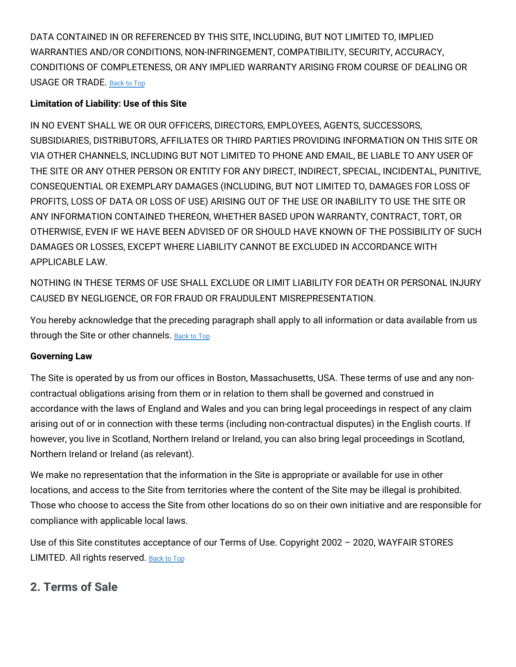DATA CONTAINED IN OR REFERENCED BY THIS SITE, INCLUDING, BUT NOT LIMITED TO, IMPLIED WARRANTIES AND/OR CONDITIONS, NON-INFRINGEMENT, COMPATIBILITY, SECURITY, ACCURACY, CONDITIONS OF COMPLETENESS, OR ANY IMPLIED WARRANTY ARISING FROM COURSE OF DEALING OR USAGE OR TRADE. [Back](#wfuk-terms-top) to Top

# **Limitation of Liability: Use of this Site**

IN NO EVENT SHALL WE OR OUR OFFICERS, DIRECTORS, EMPLOYEES, AGENTS, SUCCESSORS, SUBSIDIARIES, DISTRIBUTORS, AFFILIATES OR THIRD PARTIES PROVIDING INFORMATION ON THIS SITE OR VIA OTHER CHANNELS, INCLUDING BUT NOT LIMITED TO PHONE AND EMAIL, BE LIABLE TO ANY USER OF THE SITE OR ANY OTHER PERSON OR ENTITY FOR ANY DIRECT, INDIRECT, SPECIAL, INCIDENTAL, PUNITIVE, CONSEQUENTIAL OR EXEMPLARY DAMAGES (INCLUDING, BUT NOT LIMITED TO, DAMAGES FOR LOSS OF PROFITS, LOSS OF DATA OR LOSS OF USE) ARISING OUT OF THE USE OR INABILITY TO USE THE SITE OR ANY INFORMATION CONTAINED THEREON, WHETHER BASED UPON WARRANTY, CONTRACT, TORT, OR OTHERWISE, EVEN IF WE HAVE BEEN ADVISED OF OR SHOULD HAVE KNOWN OF THE POSSIBILITY OF SUCH DAMAGES OR LOSSES, EXCEPT WHERE LIABILITY CANNOT BE EXCLUDED IN ACCORDANCE WITH APPLICABLE LAW.

NOTHING IN THESE TERMS OF USE SHALL EXCLUDE OR LIMIT LIABILITY FOR DEATH OR PERSONAL INJURY CAUSED BY NEGLIGENCE, OR FOR FRAUD OR FRAUDULENT MISREPRESENTATION.

You hereby acknowledge that the preceding paragraph shall apply to all information or data available from us through the Site or other channels. [Back](#wfuk-terms-top) to Top

# **Governing Law**

The Site is operated by us from our offices in Boston, Massachusetts, USA. These terms of use and any noncontractual obligations arising from them or in relation to them shall be governed and construed in accordance with the laws of England and Wales and you can bring legal proceedings in respect of any claim arising out of or in connection with these terms (including non-contractual disputes) in the English courts. If however, you live in Scotland, Northern Ireland or Ireland, you can also bring legal proceedings in Scotland, Northern Ireland or Ireland (as relevant).

We make no representation that the information in the Site is appropriate or available for use in other locations, and access to the Site from territories where the content of the Site may be illegal is prohibited. Those who choose to access the Site from other locations do so on their own initiative and are responsible for compliance with applicable local laws.

Use of this Site constitutes acceptance of our Terms of Use. Copyright 2002 – 2020, WAYFAIR STORES LIMITED. All rights reserved. [Back](#wfuk-terms-top) to Top

# **2. Terms of Sale**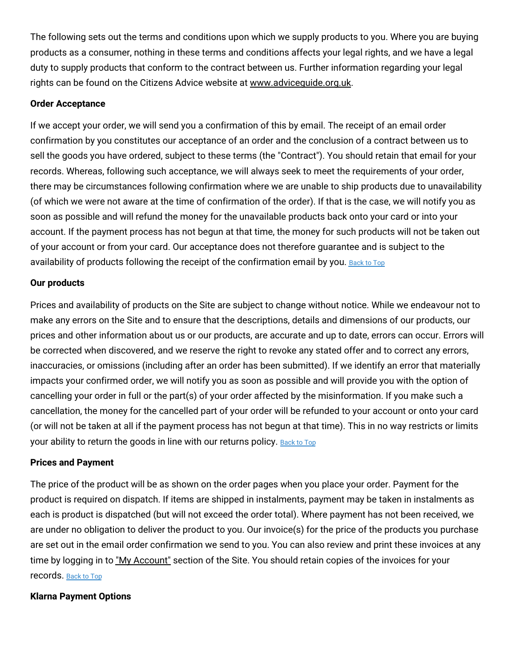The following sets out the terms and conditions upon which we supply products to you. Where you are buying products as a consumer, nothing in these terms and conditions affects your legal rights, and we have a legal duty to supply products that conform to the contract between us. Further information regarding your legal rights can be found on the Citizens Advice website at [www.adviceguide.org.uk.](http://adviceguide.org.uk/)

#### **Order Acceptance**

If we accept your order, we will send you a confirmation of this by email. The receipt of an email order confirmation by you constitutes our acceptance of an order and the conclusion of a contract between us to sell the goods you have ordered, subject to these terms (the "Contract"). You should retain that email for your records. Whereas, following such acceptance, we will always seek to meet the requirements of your order, there may be circumstances following confirmation where we are unable to ship products due to unavailability (of which we were not aware at the time of confirmation of the order). If that is the case, we will notify you as soon as possible and will refund the money for the unavailable products back onto your card or into your account. If the payment process has not begun at that time, the money for such products will not be taken out of your account or from your card. Our acceptance does not therefore guarantee and is subject to the availability of products following the receipt of the confirmation email by you. [Back](#wfuk-terms-top) to Top

#### **Our products**

Prices and availability of products on the Site are subject to change without notice. While we endeavour not to make any errors on the Site and to ensure that the descriptions, details and dimensions of our products, our prices and other information about us or our products, are accurate and up to date, errors can occur. Errors will be corrected when discovered, and we reserve the right to revoke any stated offer and to correct any errors, inaccuracies, or omissions (including after an order has been submitted). If we identify an error that materially impacts your confirmed order, we will notify you as soon as possible and will provide you with the option of cancelling your order in full or the part(s) of your order affected by the misinformation. If you make such a cancellation, the money for the cancelled part of your order will be refunded to your account or onto your card (or will not be taken at all if the payment process has not begun at that time). This in no way restricts or limits your ability to return the goods in line with our returns policy. [Back](#wfuk-terms-top) to Top

#### **Prices and Payment**

The price of the product will be as shown on the order pages when you place your order. Payment for the product is required on dispatch. If items are shipped in instalments, payment may be taken in instalments as each is product is dispatched (but will not exceed the order total). Where payment has not been received, we are under no obligation to deliver the product to you. Our invoice(s) for the price of the products you purchase are set out in the email order confirmation we send to you. You can also review and print these invoices at any time by logging in to "My [Account"](https://www.wayfair.co.uk/v/account/welcome/show) section of the Site. You should retain copies of the invoices for your records. [Back](#wfuk-terms-top) to Top

#### **Klarna Payment Options**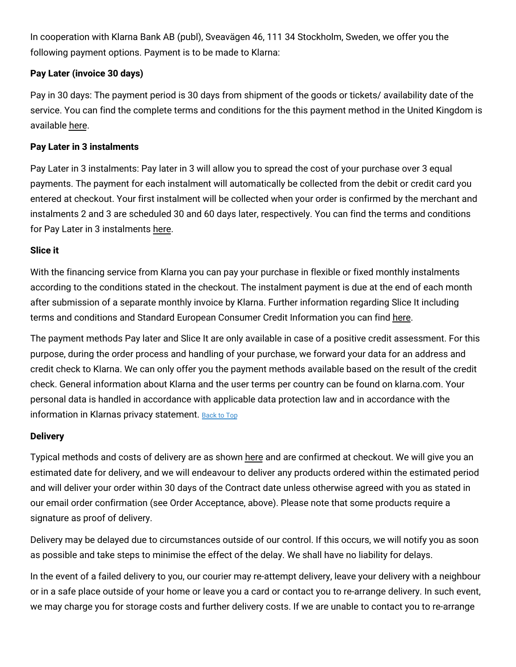In cooperation with Klarna Bank AB (publ), Sveavägen 46, 111 34 Stockholm, Sweden, we offer you the following payment options. Payment is to be made to Klarna:

# **Pay Later (invoice 30 days)**

Pay in 30 days: The payment period is 30 days from shipment of the goods or tickets/ availability date of the service. You can find the complete terms and conditions for the this payment method in the United Kingdom is available [here.](https://cdn.klarna.com/1.0/shared/content/legal/terms/0/en_gb/pay_after_delivery)

## **Pay Later in 3 instalments**

Pay Later in 3 instalments: Pay later in 3 will allow you to spread the cost of your purchase over 3 equal payments. The payment for each instalment will automatically be collected from the debit or credit card you entered at checkout. Your first instalment will be collected when your order is confirmed by the merchant and instalments 2 and 3 are scheduled 30 and 60 days later, respectively. You can find the terms and conditions for Pay Later in 3 instalments [here.](https://cdn.klarna.com/1.0/shared/content/legal/terms/0/en_gb/slice_it_card)

## **Slice it**

With the financing service from Klarna you can pay your purchase in flexible or fixed monthly instalments according to the conditions stated in the checkout. The instalment payment is due at the end of each month after submission of a separate monthly invoice by Klarna. Further information regarding Slice It including terms and conditions and Standard European Consumer Credit Information you can find [here.](https://cdn.klarna.com/1.0/shared/content/legal/terms/0/en_gb/account_agreement)

The payment methods Pay later and Slice It are only available in case of a positive credit assessment. For this purpose, during the order process and handling of your purchase, we forward your data for an address and credit check to Klarna. We can only offer you the payment methods available based on the result of the credit check. General information about Klarna and the user terms per country can be found on klarna.com. Your personal data is handled in accordance with applicable data protection law and in accordance with the information in Klarnas privacy statement. [Back](#wfuk-terms-top) to Top

#### **Delivery**

Typical methods and costs of delivery are as shown [here](https://www.wayfair.co.uk/help/article/delivery_info) and are confirmed at checkout. We will give you an estimated date for delivery, and we will endeavour to deliver any products ordered within the estimated period and will deliver your order within 30 days of the Contract date unless otherwise agreed with you as stated in our email order confirmation (see Order Acceptance, above). Please note that some products require a signature as proof of delivery.

Delivery may be delayed due to circumstances outside of our control. If this occurs, we will notify you as soon as possible and take steps to minimise the effect of the delay. We shall have no liability for delays.

In the event of a failed delivery to you, our courier may re-attempt delivery, leave your delivery with a neighbour or in a safe place outside of your home or leave you a card or contact you to re-arrange delivery. In such event, we may charge you for storage costs and further delivery costs. If we are unable to contact you to re-arrange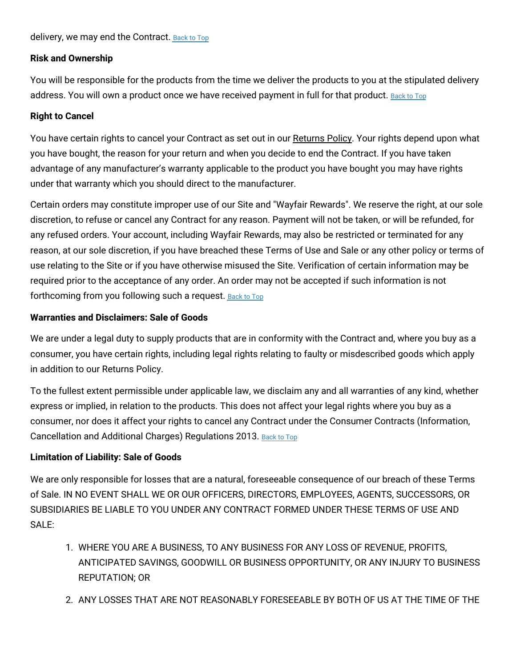# **Risk and Ownership**

You will be responsible for the products from the time we deliver the products to you at the stipulated delivery address. You will own a product once we have received payment in full for that product. [Back](#wfuk-terms-top) to Top

# **Right to Cancel**

You have certain rights to cancel your Contract as set out in our [Returns](https://www.wayfair.co.uk/help/article/return_policy) Policy. Your rights depend upon what you have bought, the reason for your return and when you decide to end the Contract. If you have taken advantage of any manufacturer's warranty applicable to the product you have bought you may have rights under that warranty which you should direct to the manufacturer.

Certain orders may constitute improper use of our Site and "Wayfair Rewards". We reserve the right, at our sole discretion, to refuse or cancel any Contract for any reason. Payment will not be taken, or will be refunded, for any refused orders. Your account, including Wayfair Rewards, may also be restricted or terminated for any reason, at our sole discretion, if you have breached these Terms of Use and Sale or any other policy or terms of use relating to the Site or if you have otherwise misused the Site. Verification of certain information may be required prior to the acceptance of any order. An order may not be accepted if such information is not forthcoming from you following such a request. [Back](#wfuk-terms-top) to Top

# **Warranties and Disclaimers: Sale of Goods**

We are under a legal duty to supply products that are in conformity with the Contract and, where you buy as a consumer, you have certain rights, including legal rights relating to faulty or misdescribed goods which apply in addition to our Returns Policy.

To the fullest extent permissible under applicable law, we disclaim any and all warranties of any kind, whether express or implied, in relation to the products. This does not affect your legal rights where you buy as a consumer, nor does it affect your rights to cancel any Contract under the Consumer Contracts (Information, Cancellation and Additional Charges) Regulations 2013. [Back](#wfuk-terms-top) to Top

# **Limitation of Liability: Sale of Goods**

We are only responsible for losses that are a natural, foreseeable consequence of our breach of these Terms of Sale. IN NO EVENT SHALL WE OR OUR OFFICERS, DIRECTORS, EMPLOYEES, AGENTS, SUCCESSORS, OR SUBSIDIARIES BE LIABLE TO YOU UNDER ANY CONTRACT FORMED UNDER THESE TERMS OF USE AND SALE:

- 1. WHERE YOU ARE A BUSINESS, TO ANY BUSINESS FOR ANY LOSS OF REVENUE, PROFITS, ANTICIPATED SAVINGS, GOODWILL OR BUSINESS OPPORTUNITY, OR ANY INJURY TO BUSINESS REPUTATION; OR
- 2. ANY LOSSES THAT ARE NOT REASONABLY FORESEEABLE BY BOTH OF US AT THE TIME OF THE